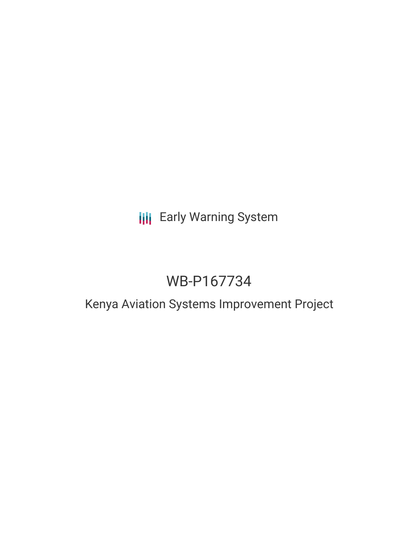# **III** Early Warning System

# WB-P167734

## Kenya Aviation Systems Improvement Project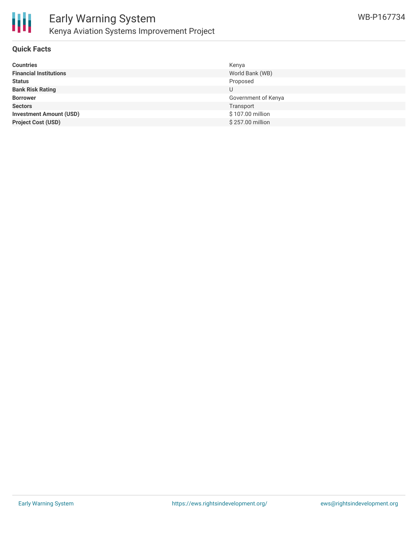

### **Quick Facts**

| <b>Countries</b>               | Kenya               |
|--------------------------------|---------------------|
| <b>Financial Institutions</b>  | World Bank (WB)     |
| <b>Status</b>                  | Proposed            |
| <b>Bank Risk Rating</b>        | U                   |
| <b>Borrower</b>                | Government of Kenya |
| <b>Sectors</b>                 | Transport           |
| <b>Investment Amount (USD)</b> | \$107.00 million    |
| <b>Project Cost (USD)</b>      | \$257.00 million    |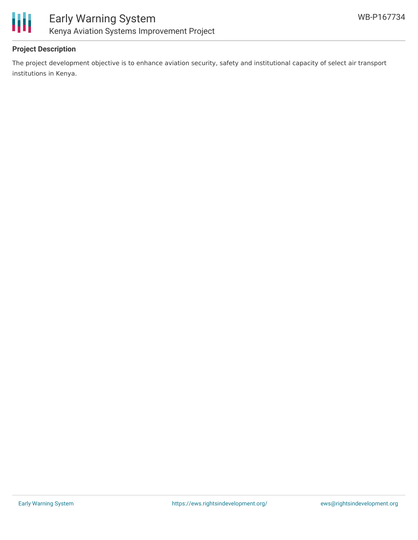

#### **Project Description**

The project development objective is to enhance aviation security, safety and institutional capacity of select air transport institutions in Kenya.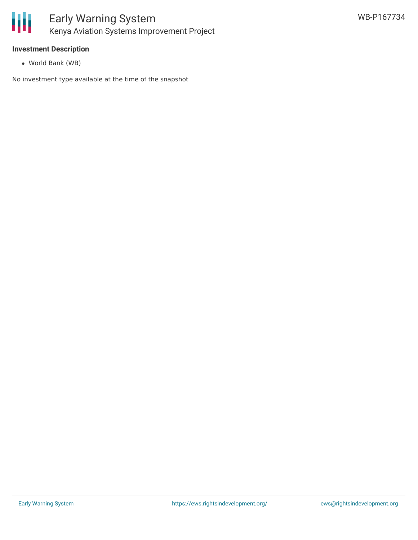

#### **Investment Description**

World Bank (WB)

No investment type available at the time of the snapshot